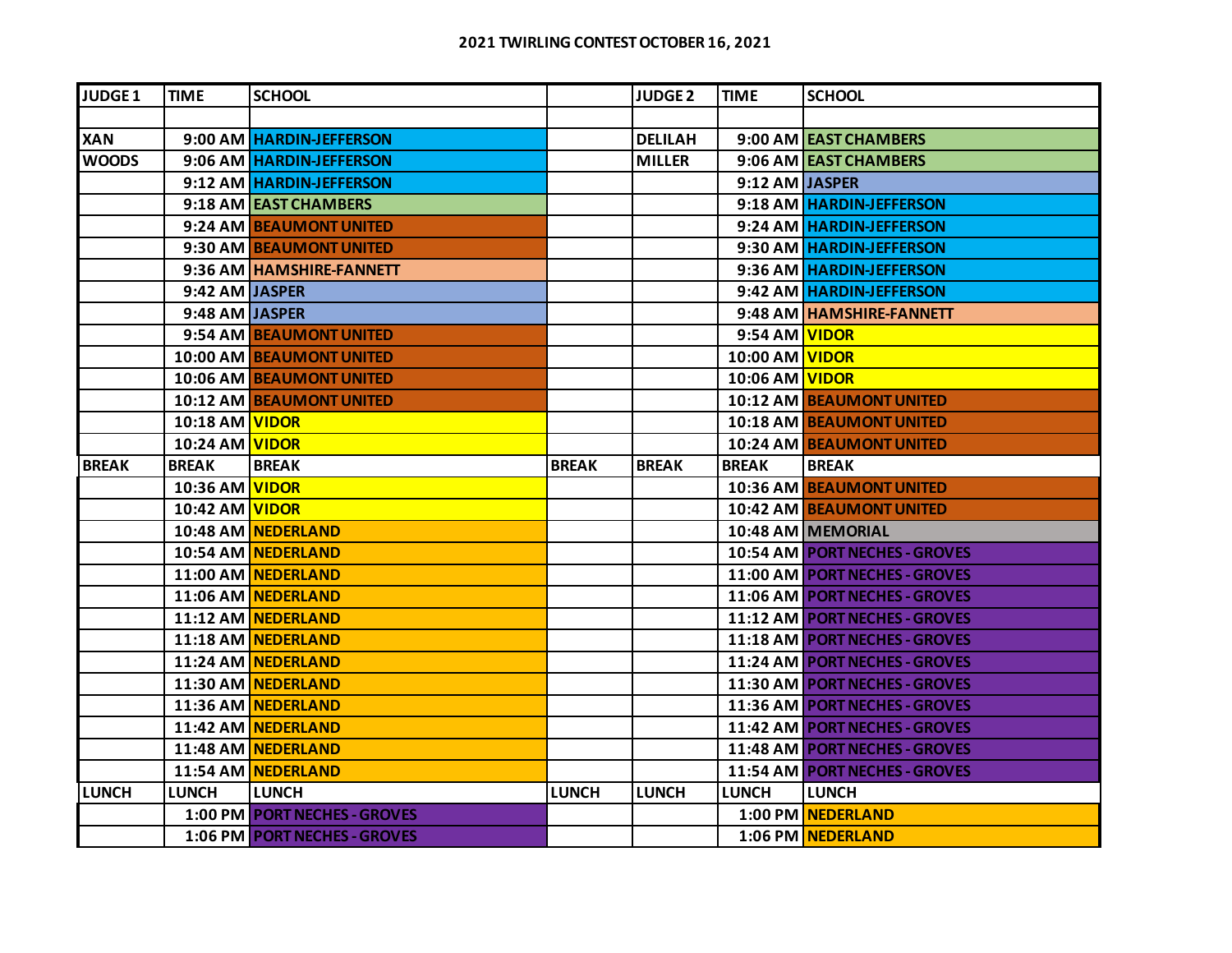| JUDGE <sub>1</sub> | TIME           | <b>SCHOOL</b>                   |              | <b>JUDGE 2</b> | TIME           | <b>SCHOOL</b>                        |
|--------------------|----------------|---------------------------------|--------------|----------------|----------------|--------------------------------------|
|                    |                |                                 |              |                |                |                                      |
| <b>XAN</b>         |                | 9:00 AM HARDIN-JEFFERSON        |              | <b>DELILAH</b> |                | 9:00 AM LEAST CHAMBERS               |
| <b>WOODS</b>       |                | 9:06 AM HARDIN-JEFFERSON        |              | <b>MILLER</b>  |                | 9:06 AM EAST CHAMBERS                |
|                    |                | 9:12 AM HARDIN-JEFFERSON        |              |                | 9:12 AM JASPER |                                      |
|                    |                | 9:18 AM EAST CHAMBERS           |              |                |                | 9:18 AM HARDIN-JEFFERSON             |
|                    |                | 9:24 AM BEAUMONT UNITED         |              |                |                | 9:24 AM HARDIN-JEFFERSON             |
|                    |                | 9:30 AM BEAUMONT UNITED         |              |                |                | 9:30 AM   HARDIN-JEFFERSON           |
|                    |                | 9:36 AM HAMSHIRE-FANNETT        |              |                |                | 9:36 AM   HARDIN-JEFFERSON           |
|                    | 9:42 AM JASPER |                                 |              |                |                | 9:42 AM   HARDIN-JEFFERSON           |
|                    | 9:48 AM JASPER |                                 |              |                |                | 9:48 AM HAMSHIRE-FANNETT             |
|                    |                | 9:54 AM   BEAUMONT UNITED       |              |                | 9:54 AM VIDOR  |                                      |
|                    |                | 10:00 AM BEAUMONT UNITED        |              |                | 10:00 AM VIDOR |                                      |
|                    |                | <b>10:06 AM BEAUMONT UNITED</b> |              |                | 10:06 AM VIDOR |                                      |
|                    |                | <b>10:12 AM BEAUMONT UNITED</b> |              |                |                | <b>10:12 AM BEAUMONT UNITED</b>      |
|                    | 10:18 AM VIDOR |                                 |              |                |                | <b>10:18 AM BEAUMONT UNITED</b>      |
|                    | 10:24 AM VIDOR |                                 |              |                |                | <b>10:24 AM BEAUMONT UNITED</b>      |
| <b>BREAK</b>       | <b>BREAK</b>   | <b>BREAK</b>                    | <b>BREAK</b> | <b>BREAK</b>   | <b>BREAK</b>   | <b>BREAK</b>                         |
|                    | 10:36 AM VIDOR |                                 |              |                |                | 10:36 AM BEAUMONT UNITED             |
|                    | 10:42 AM VIDOR |                                 |              |                |                | <b>10:42 AM BEAUMONT UNITED</b>      |
|                    |                | 10:48 AM NEDERLAND              |              |                |                | 10:48 AM MEMORIAL                    |
|                    |                | 10:54 AM NEDERLAND              |              |                |                | <b>10:54 AM PORT NECHES - GROVES</b> |
|                    |                | <b>11:00 AM NEDERLAND</b>       |              |                |                | 11:00 AM PORT NECHES - GROVES        |
|                    |                | 11:06 AM NEDERLAND              |              |                |                | 11:06 AM PORT NECHES - GROVES        |
|                    |                | 11:12 AM NEDERLAND              |              |                |                | 11:12 AM PORT NECHES - GROVES        |
|                    |                | 11:18 AM NEDERLAND              |              |                |                | 11:18 AM PORT NECHES - GROVES        |
|                    |                | 11:24 AM NEDERLAND              |              |                |                | 11:24 AM PORT NECHES - GROVES        |
|                    |                | 11:30 AM NEDERLAND              |              |                |                | 11:30 AM PORT NECHES - GROVES        |
|                    |                | 11:36 AM NEDERLAND              |              |                |                | 11:36 AM PORT NECHES - GROVES        |
|                    |                | 11:42 AM NEDERLAND              |              |                |                | <b>11:42 AM PORT NECHES - GROVES</b> |
|                    |                | 11:48 AM NEDERLAND              |              |                |                | 11:48 AM PORT NECHES - GROVES        |
|                    |                | 11:54 AM NEDERLAND              |              |                |                | 11:54 AM PORT NECHES - GROVES        |
| <b>LUNCH</b>       | <b>LUNCH</b>   | <b>LUNCH</b>                    | <b>LUNCH</b> | <b>LUNCH</b>   | <b>LUNCH</b>   | <b>LUNCH</b>                         |
|                    |                | 1:00 PM PORT NECHES - GROVES    |              |                |                | 1:00 PM NEDERLAND                    |
|                    |                | 1:06 PM PORT NECHES - GROVES    |              |                |                | 1:06 PM NEDERLAND                    |